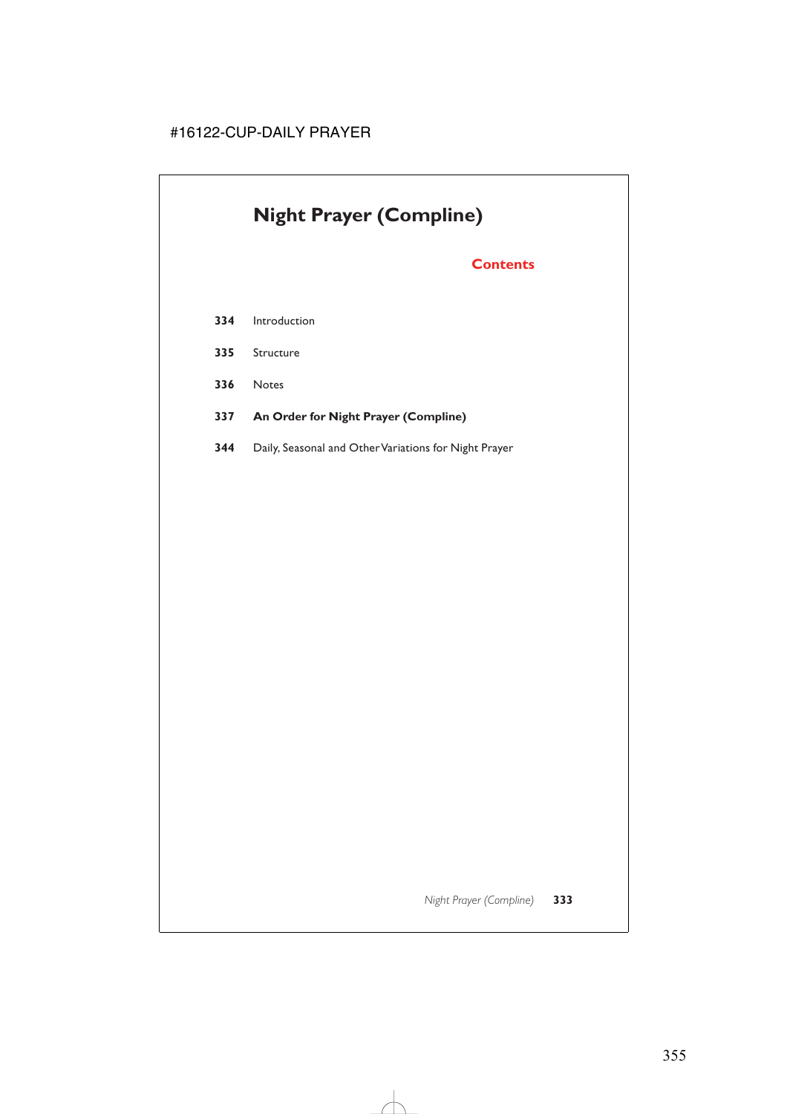# **Night Prayer (Compline)**

# **Contents**

- Introduction
- Structure
- Notes
- **An Order for Night Prayer (Compline)**
- Daily, Seasonal and Other Variations for Night Prayer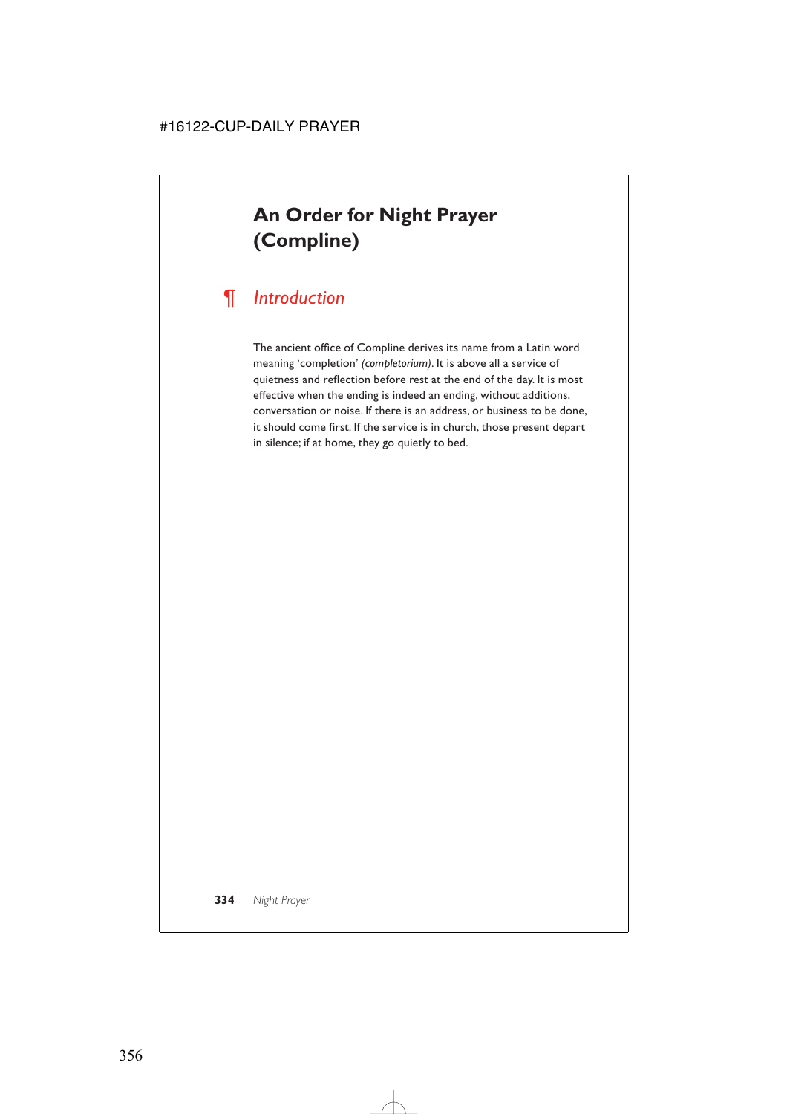# **An Order for Night Prayer (Compline)**

# *¶ Introduction*

The ancient office of Compline derives its name from a Latin word meaning 'completion' *(completorium)*. It is above all a service of quietness and reflection before rest at the end of the day. It is most effective when the ending is indeed an ending, without additions, conversation or noise. If there is an address, or business to be done, it should come first. If the service is in church, those present depart in silence; if at home, they go quietly to bed.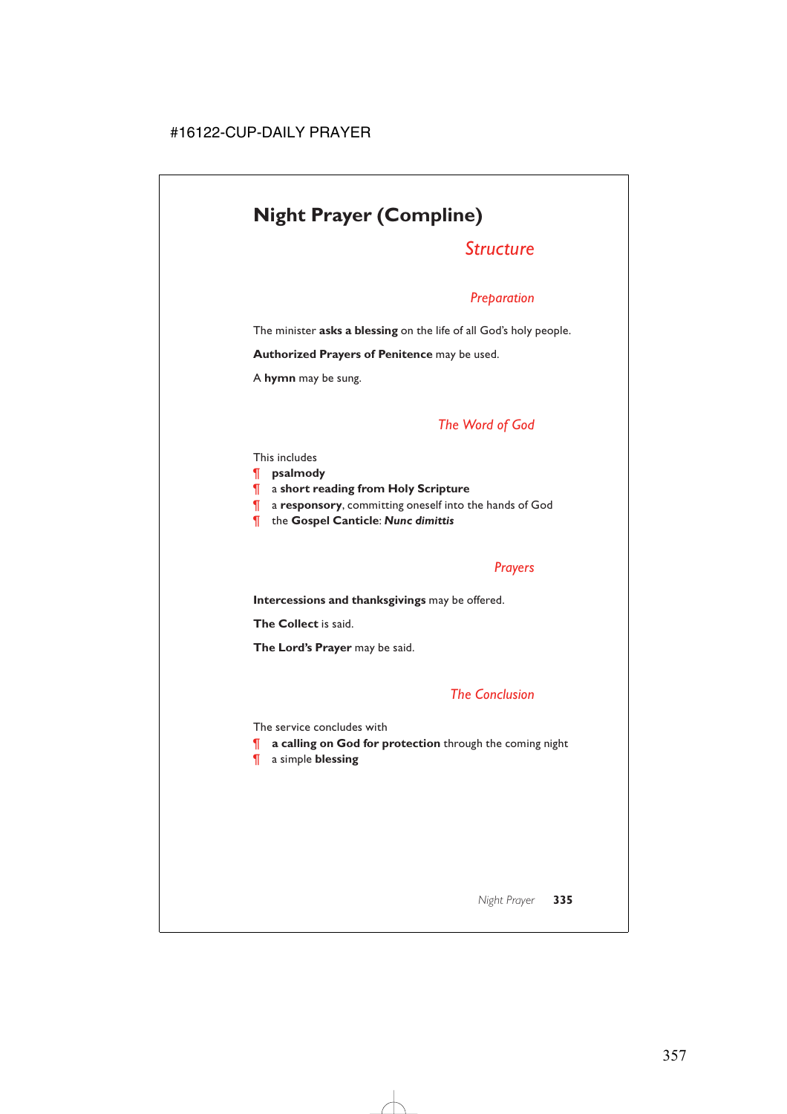# **Night Prayer (Compline)**

# *Structure*

## *Preparation*

The minister **asks a blessing** on the life of all God's holy people.

**Authorized Prayers of Penitence** may be used.

A **hymn** may be sung.

## *The Word of God*

#### This includes

- ¶ **psalmody**
- ¶ a **short reading from Holy Scripture**
- ¶ a **responsory**, committing oneself into the hands of God
- ¶ the **Gospel Canticle**: *Nunc dimittis*

## *Prayers*

**Intercessions and thanksgivings** may be offered.

**The Collect** is said.

**The Lord's Prayer** may be said.

## *The Conclusion*

The service concludes with

- ¶ **a calling on God for protection** through the coming night
- ¶ a simple **blessing**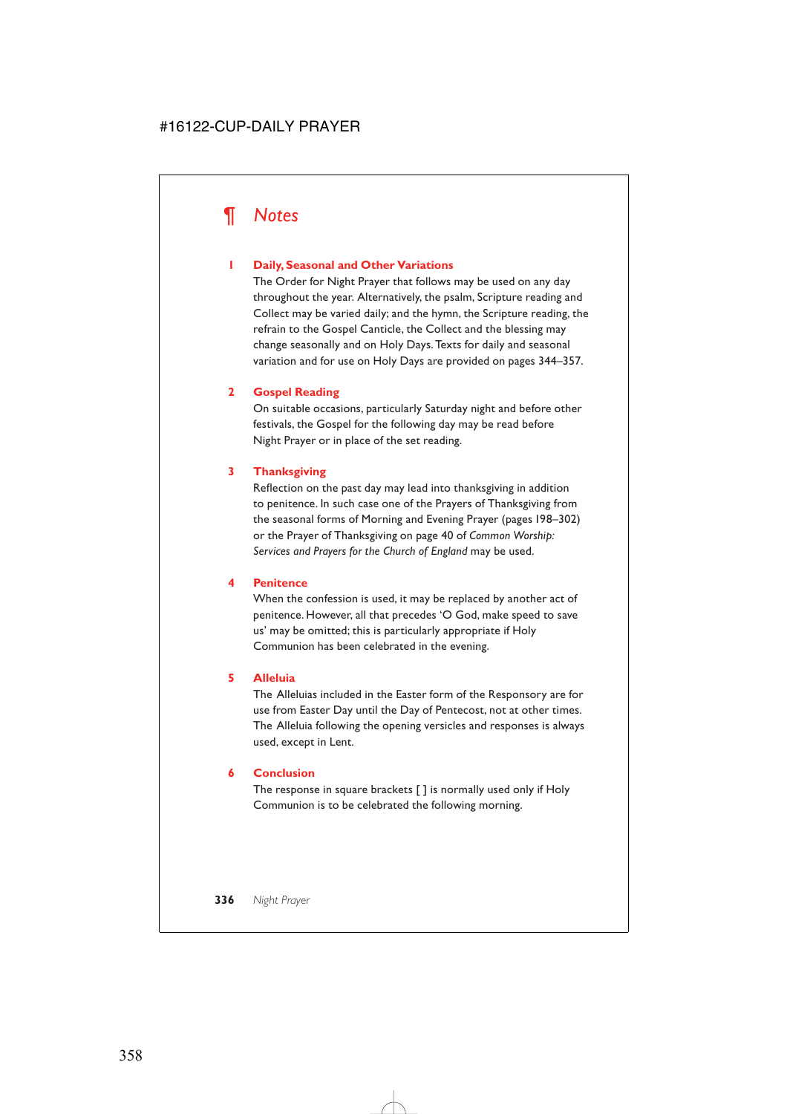

#### **1 Daily, Seasonal and Other Variations**

The Order for Night Prayer that follows may be used on any day throughout the year. Alternatively, the psalm, Scripture reading and Collect may be varied daily; and the hymn, the Scripture reading, the refrain to the Gospel Canticle, the Collect and the blessing may change seasonally and on Holy Days. Texts for daily and seasonal variation and for use on Holy Days are provided on pages 344–357.

#### **2 Gospel Reading**

On suitable occasions, particularly Saturday night and before other festivals, the Gospel for the following day may be read before Night Prayer or in place of the set reading.

#### **3 Thanksgiving**

Reflection on the past day may lead into thanksgiving in addition to penitence. In such case one of the Prayers of Thanksgiving from the seasonal forms of Morning and Evening Prayer (pages 198–302) or the Prayer of Thanksgiving on page 40 of *Common Worship: Services and Prayers for the Church of England* may be used.

#### **4 Penitence**

When the confession is used, it may be replaced by another act of penitence. However, all that precedes 'O God, make speed to save us' may be omitted; this is particularly appropriate if Holy Communion has been celebrated in the evening.

#### **5 Alleluia**

The Alleluias included in the Easter form of the Responsory are for use from Easter Day until the Day of Pentecost, not at other times. The Alleluia following the opening versicles and responses is always used, except in Lent.

#### **6 Conclusion**

The response in square brackets [ ] is normally used only if Holy Communion is to be celebrated the following morning.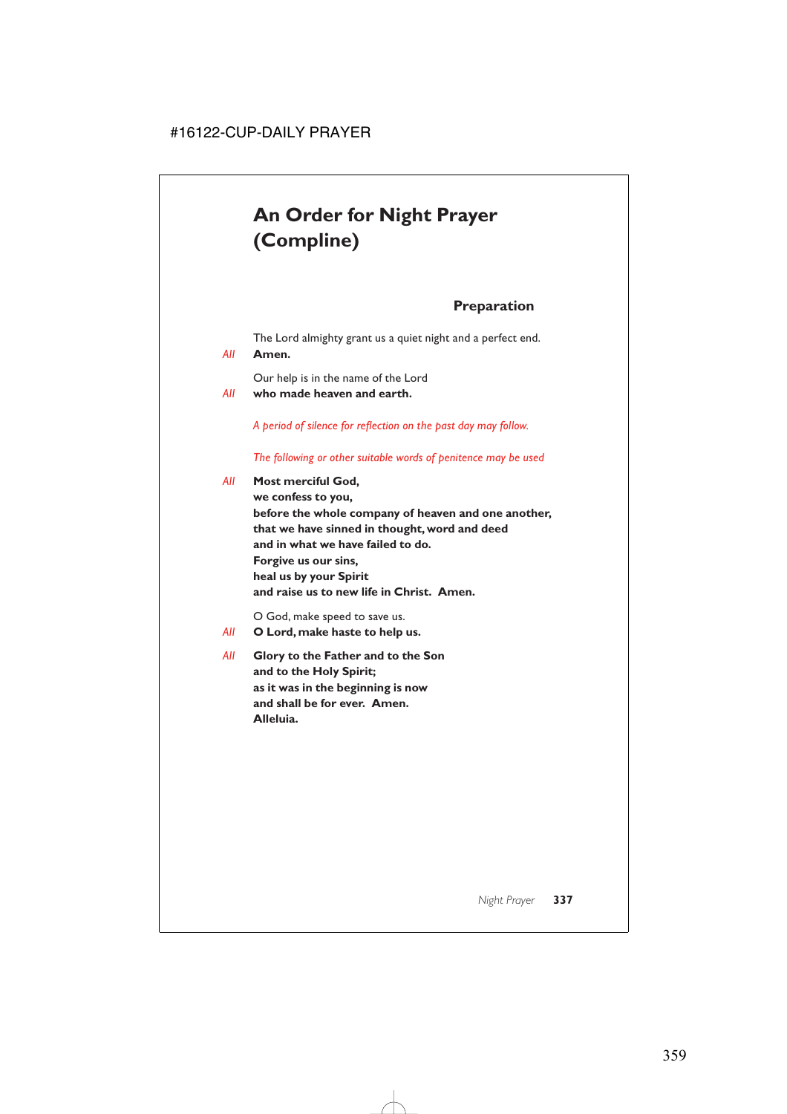# **An Order for Night Prayer (Compline)**

**Preparation**

The Lord almighty grant us a quiet night and a perfect end.

*All* **Amen.**

Our help is in the name of the Lord

*All* **who made heaven and earth.**

*A period of silence for reflection on the past day may follow.*

*The following or other suitable words of penitence may be used*

*All* **Most merciful God, we confess to you, before the whole company of heaven and one another, that we have sinned in thought, word and deed and in what we have failed to do. Forgive us our sins, heal us by your Spirit and raise us to new life in Christ. Amen.**

O God, make speed to save us.

- *All* **O Lord, make haste to help us.**
- *All* **Glory to the Father and to the Son and to the Holy Spirit; as it was in the beginning is now and shall be for ever. Amen. Alleluia.**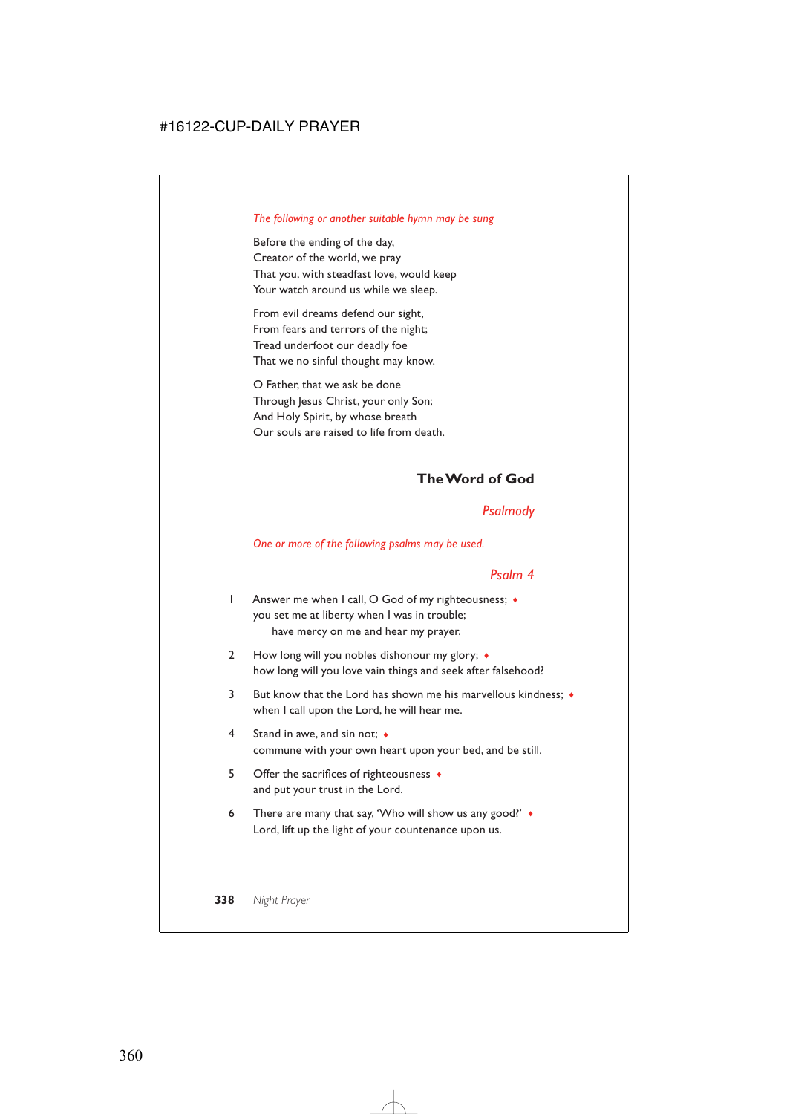#### *The following or another suitable hymn may be sung*

Before the ending of the day, Creator of the world, we pray That you, with steadfast love, would keep Your watch around us while we sleep.

From evil dreams defend our sight, From fears and terrors of the night; Tread underfoot our deadly foe That we no sinful thought may know.

O Father, that we ask be done Through Jesus Christ, your only Son; And Holy Spirit, by whose breath Our souls are raised to life from death.

## **The Word of God**

#### *Psalmody*

#### *One or more of the following psalms may be used.*

#### *Psalm 4*

- 1 Answer me when I call, O God of my righteousness; ♦ you set me at liberty when I was in trouble; have mercy on me and hear my prayer.
- 2 How long will you nobles dishonour my glory;  $\triangleleft$ how long will you love vain things and seek after falsehood?
- 3 But know that the Lord has shown me his marvellous kindness; ♦ when I call upon the Lord, he will hear me.
- 4 Stand in awe, and sin not; ♦ commune with your own heart upon your bed, and be still.
- 5 Offer the sacrifices of righteousness ♦ and put your trust in the Lord.
- 6 There are many that say, 'Who will show us any good?' ♦ Lord, lift up the light of your countenance upon us.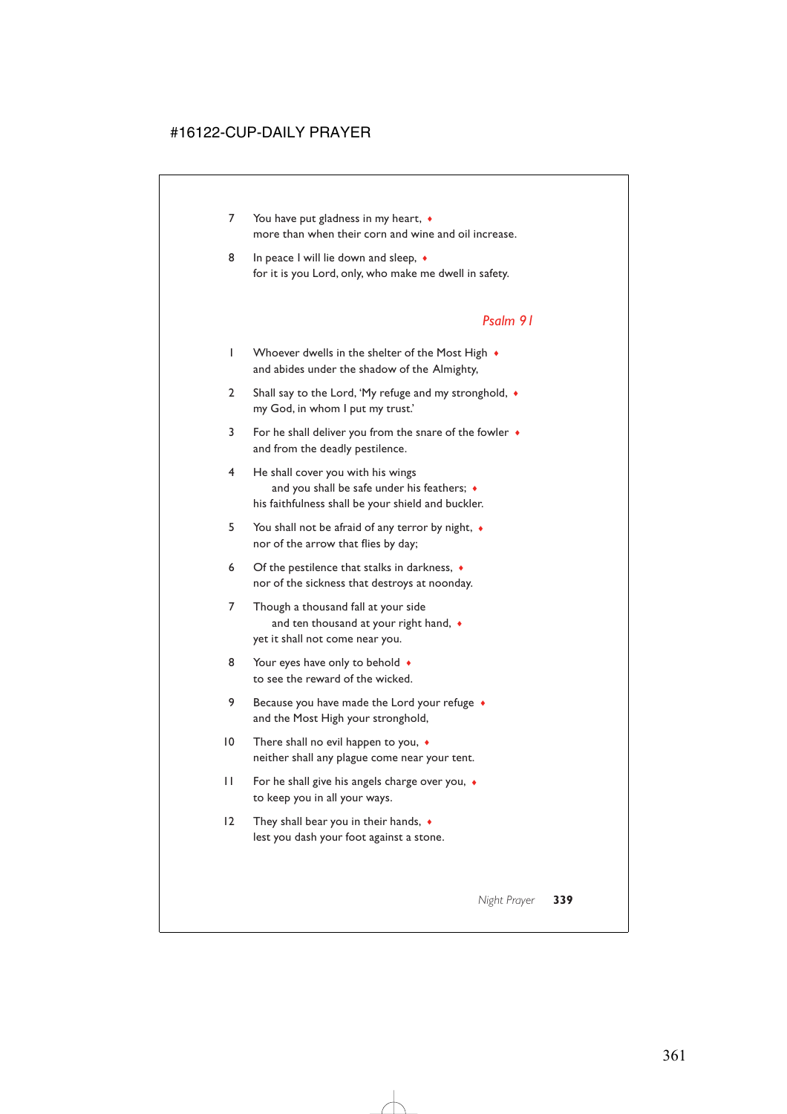- 7 You have put gladness in my heart,  $\bullet$ more than when their corn and wine and oil increase.
- 8 In peace I will lie down and sleep,  $\bullet$ for it is you Lord, only, who make me dwell in safety.

#### *Psalm 91*

- 1 Whoever dwells in the shelter of the Most High  $\bullet$ and abides under the shadow of the Almighty,
- 2 Shall say to the Lord, 'My refuge and my stronghold, ♦ my God, in whom I put my trust.'
- 3 For he shall deliver you from the snare of the fowler ♦ and from the deadly pestilence.
- 4 He shall cover you with his wings and you shall be safe under his feathers;  $\triangleleft$ his faithfulness shall be your shield and buckler.
- 5 You shall not be afraid of any terror by night, ♦ nor of the arrow that flies by day;
- 6 Of the pestilence that stalks in darkness, ♦ nor of the sickness that destroys at noonday.
- 7 Though a thousand fall at your side and ten thousand at your right hand,  $\triangleleft$ yet it shall not come near you.
- 8 Your eyes have only to behold  $\bullet$ to see the reward of the wicked.
- 9 Because you have made the Lord your refuge ♦ and the Most High your stronghold,
- 10 There shall no evil happen to you, ♦ neither shall any plague come near your tent.
- 11 For he shall give his angels charge over you, ♦ to keep you in all your ways.
- 12 They shall bear you in their hands, ♦ lest you dash your foot against a stone.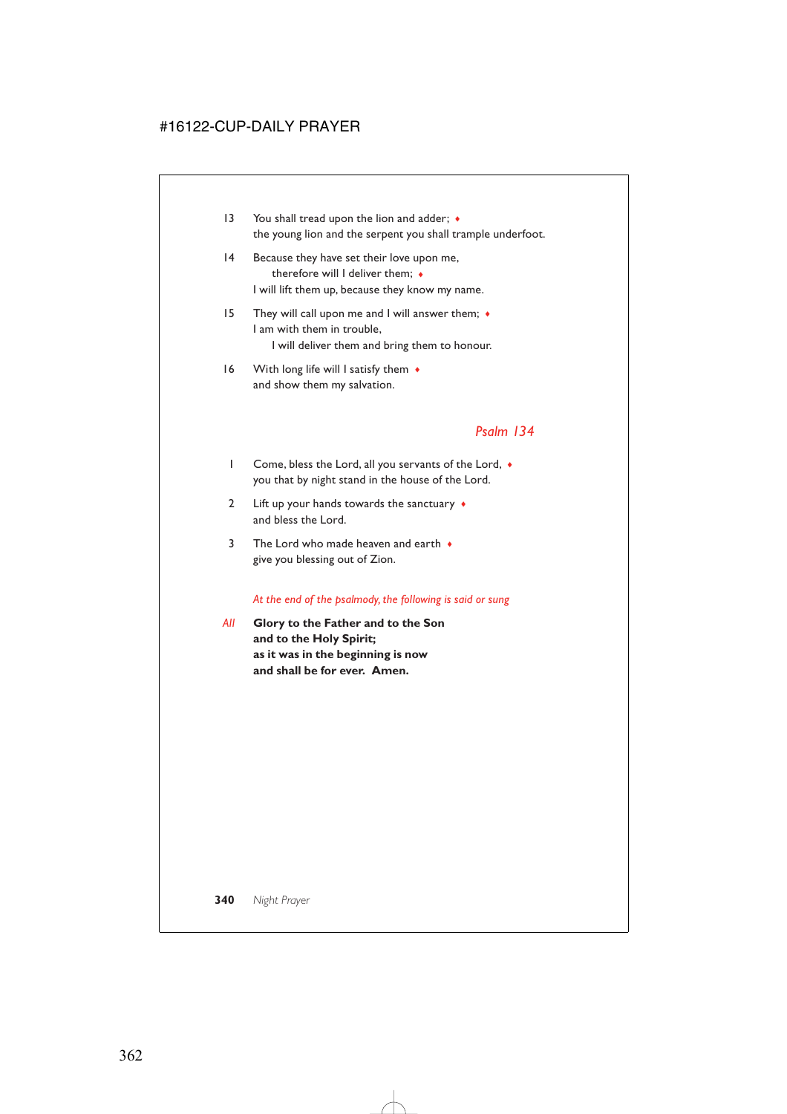- 13 You shall tread upon the lion and adder;  $\bullet$ the young lion and the serpent you shall trample underfoot.
- 14 Because they have set their love upon me, therefore will I deliver them; ♦ I will lift them up, because they know my name.
- 15 They will call upon me and I will answer them; ♦ I am with them in trouble, I will deliver them and bring them to honour.
- 16 With long life will I satisfy them  $\triangleleft$ and show them my salvation.

## *Psalm 134*

- 1 Come, bless the Lord, all you servants of the Lord, ♦ you that by night stand in the house of the Lord.
- 2 Lift up your hands towards the sanctuary ♦ and bless the Lord.
- 3 The Lord who made heaven and earth  $\bullet$ give you blessing out of Zion.

*At the end of the psalmody, the following is said or sung*

*All* **Glory to the Father and to the Son and to the Holy Spirit; as it was in the beginning is now and shall be for ever. Amen.**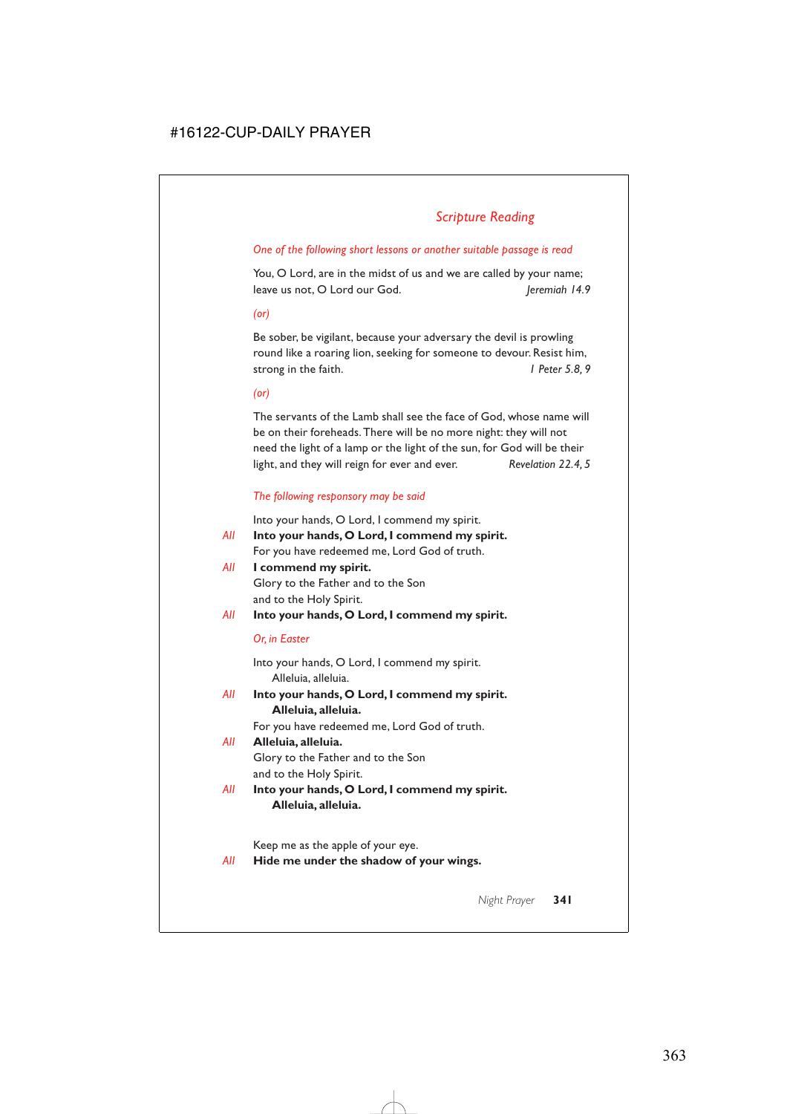## *Scripture Reading*

#### *One of the following short lessons or another suitable passage is read*

You, O Lord, are in the midst of us and we are called by your name; leave us not, O Lord our God. *Jeremiah 14.9 Jeremiah 14.9* 

*(or)*

Be sober, be vigilant, because your adversary the devil is prowling round like a roaring lion, seeking for someone to devour. Resist him, strong in the faith. **1 Peter 5.8, 9** 

*(or)*

The servants of the Lamb shall see the face of God, whose name will be on their foreheads. There will be no more night: they will not need the light of a lamp or the light of the sun, for God will be their light, and they will reign for ever and ever. *Revelation 22.4, 5*

#### *The following responsory may be said*

Into your hands, O Lord, I commend my spirit.

- *All* **Into your hands, O Lord, I commend my spirit.** For you have redeemed me, Lord God of truth.
- *All* **I commend my spirit.** Glory to the Father and to the Son and to the Holy Spirit.
- *All* **Into your hands, O Lord, I commend my spirit.**

#### *Or, in Easter*

Into your hands, O Lord, I commend my spirit. Alleluia, alleluia.

*All* **Into your hands, O Lord, I commend my spirit. Alleluia, alleluia.**

For you have redeemed me, Lord God of truth.

#### *All* **Alleluia, alleluia.**

Glory to the Father and to the Son and to the Holy Spirit.

*All* **Into your hands, O Lord, I commend my spirit. Alleluia, alleluia.**

Keep me as the apple of your eye.

*All* **Hide me under the shadow of your wings.**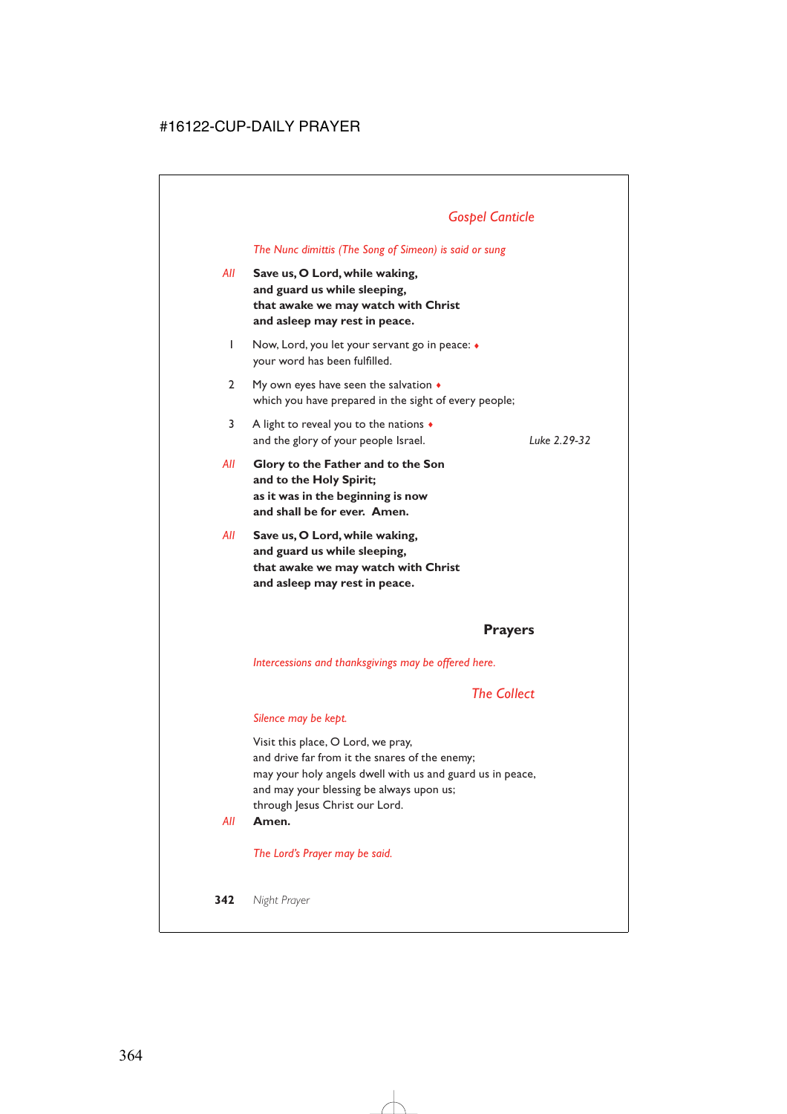# *Gospel Canticle*

### *The Nunc dimittis (The Song of Simeon) is said or sung*

- *All* **Save us, O Lord, while waking, and guard us while sleeping, that awake we may watch with Christ and asleep may rest in peace.**
	- 1 Now, Lord, you let your servant go in peace:  $\triangleleft$ your word has been fulfilled.
	- 2 My own eyes have seen the salvation  $\bullet$ which you have prepared in the sight of every people;
	- 3 A light to reveal you to the nations ♦ and the glory of your people Israel. *Luke 2.29-32*
		-

- *All* **Glory to the Father and to the Son and to the Holy Spirit; as it was in the beginning is now and shall be for ever. Amen.**
- *All* **Save us, O Lord, while waking, and guard us while sleeping, that awake we may watch with Christ and asleep may rest in peace.**

## **Prayers**

*Intercessions and thanksgivings may be offered here.*

## *The Collect*

#### *Silence may be kept.*

Visit this place, O Lord, we pray, and drive far from it the snares of the enemy; may your holy angels dwell with us and guard us in peace, and may your blessing be always upon us; through Jesus Christ our Lord.

*All* **Amen.**

*The Lord's Prayer may be said.*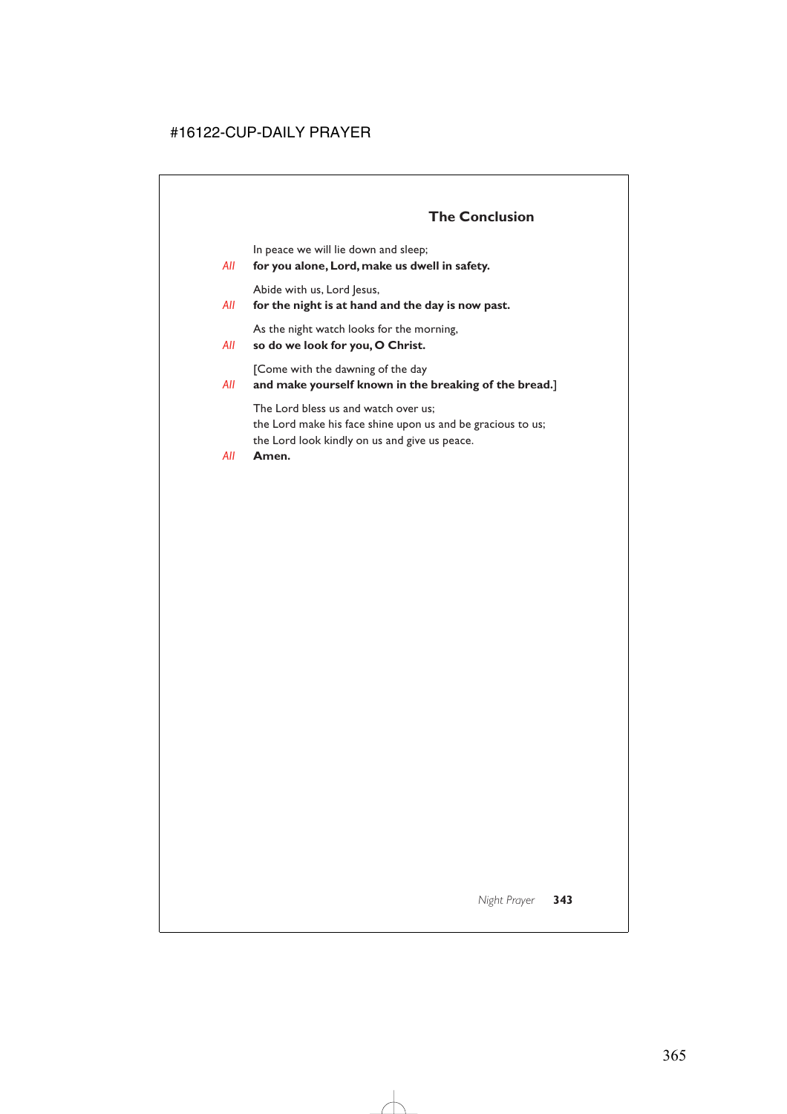## **The Conclusion**

In peace we will lie down and sleep;

*All* **for you alone, Lord, make us dwell in safety.**

Abide with us, Lord Jesus,

*All* **for the night is at hand and the day is now past.**

As the night watch looks for the morning,

*All* **so do we look for you, O Christ.**

[Come with the dawning of the day

*All* **and make yourself known in the breaking of the bread.**]

The Lord bless us and watch over us; the Lord make his face shine upon us and be gracious to us; the Lord look kindly on us and give us peace.

*All* **Amen.**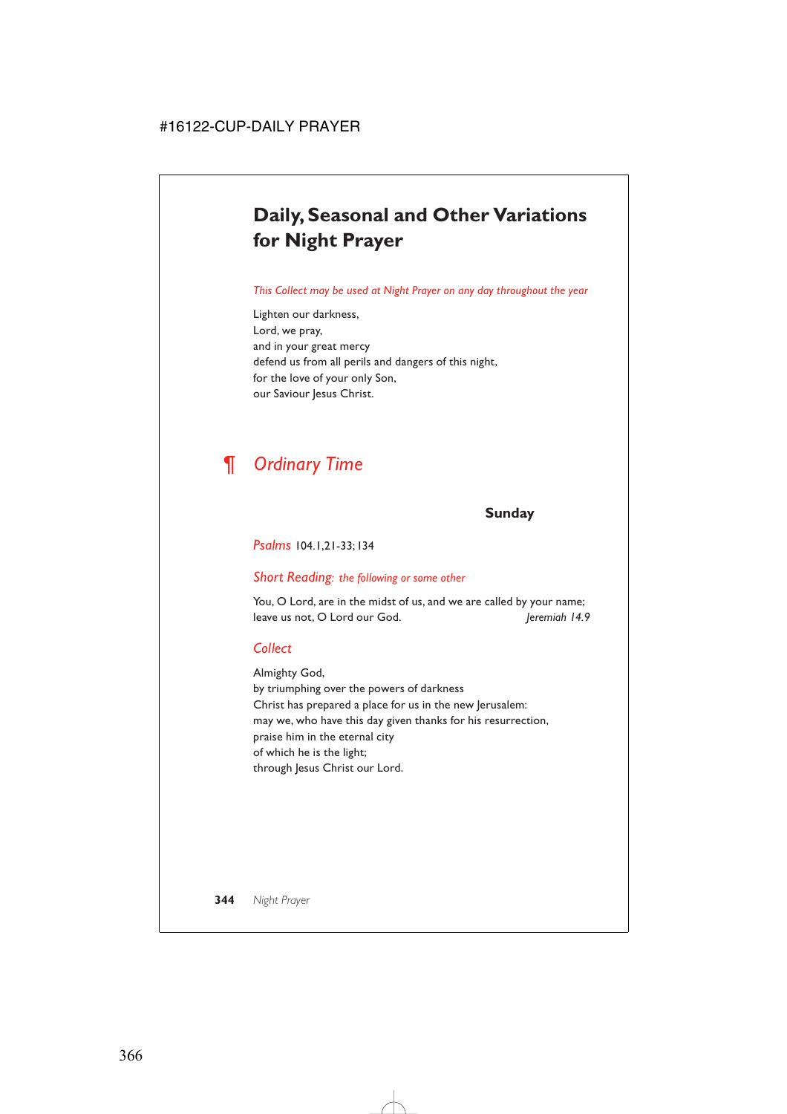# **Daily, Seasonal and Other Variations for Night Prayer**

#### *This Collect may be used at Night Prayer on any day throughout the year*

Lighten our darkness, Lord, we pray, and in your great mercy defend us from all perils and dangers of this night, for the love of your only Son, our Saviour Jesus Christ.

# *¶ Ordinary Time*

## **Sunday**

#### *Psalms* 104.1,21-33;134

#### *Short Reading: the following or some other*

You, O Lord, are in the midst of us, and we are called by your name; leave us not, O Lord our God. *Jeremiah 14.9 Jeremiah 14.9* 

#### *Collect*

Almighty God, by triumphing over the powers of darkness Christ has prepared a place for us in the new Jerusalem: may we, who have this day given thanks for his resurrection, praise him in the eternal city of which he is the light; through Jesus Christ our Lord.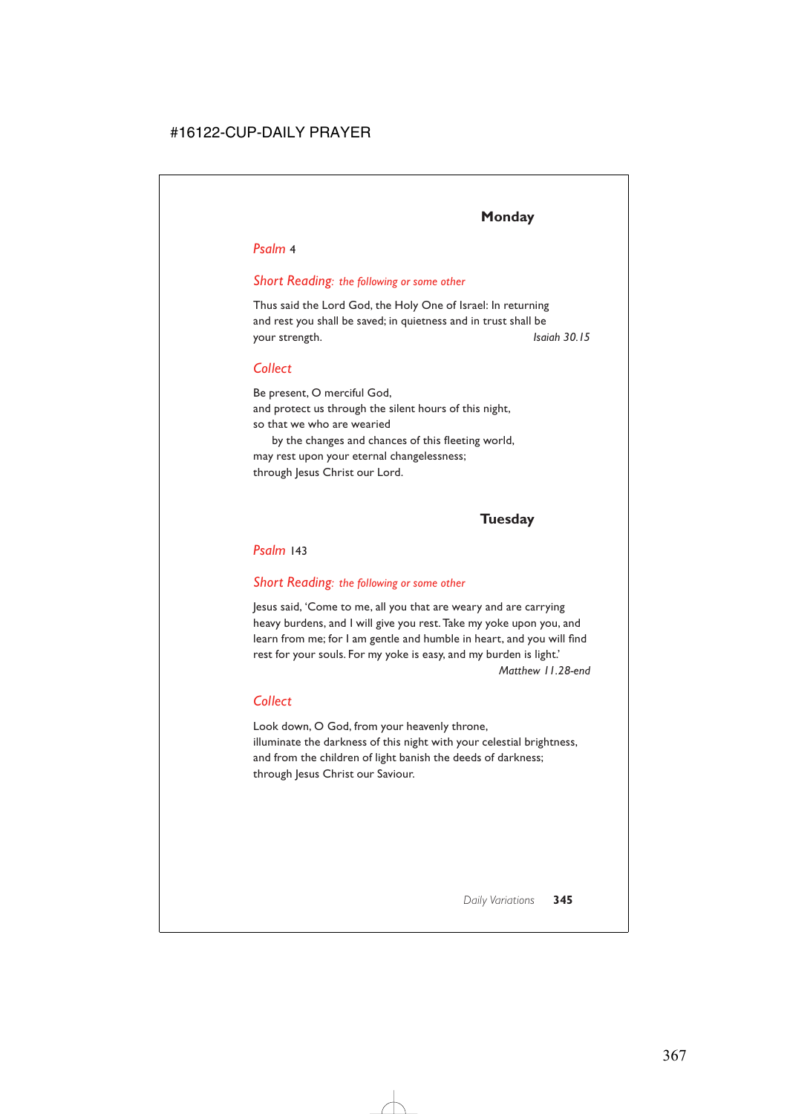#### *Psalm* 4

### *Short Reading: the following or some other*

Thus said the Lord God, the Holy One of Israel: In returning and rest you shall be saved; in quietness and in trust shall be your strength. *Isaiah 30.15*

## *Collect*

Be present, O merciful God, and protect us through the silent hours of this night, so that we who are wearied by the changes and chances of this fleeting world,

may rest upon your eternal changelessness; through Jesus Christ our Lord.

# **Tuesday**

#### *Psalm* 143

#### *Short Reading: the following or some other*

Jesus said, 'Come to me, all you that are weary and are carrying heavy burdens, and I will give you rest. Take my yoke upon you, and learn from me; for I am gentle and humble in heart, and you will find rest for your souls. For my yoke is easy, and my burden is light.' *Matthew 11.28-end*

## *Collect*

Look down, O God, from your heavenly throne, illuminate the darkness of this night with your celestial brightness, and from the children of light banish the deeds of darkness; through Jesus Christ our Saviour.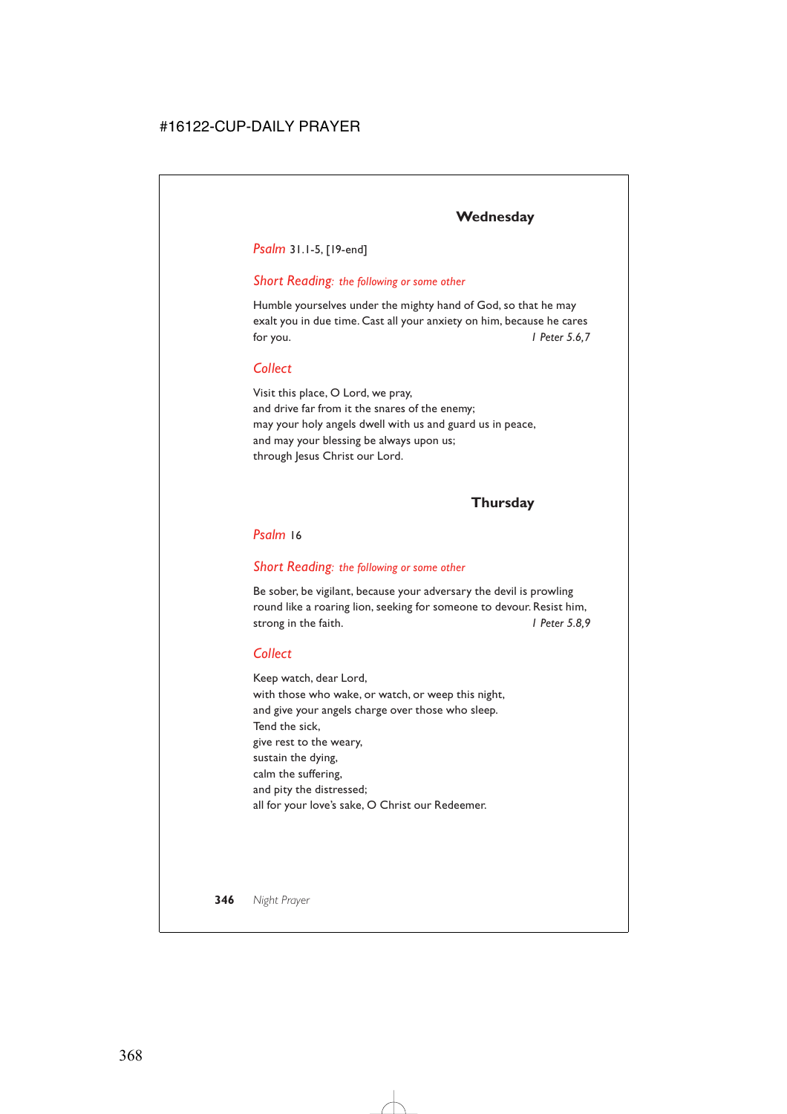*Psalm* 31.1-5, [19-end]

### *Short Reading: the following or some other*

Humble yourselves under the mighty hand of God, so that he may exalt you in due time. Cast all your anxiety on him, because he cares for you. *1 Peter 5.6,7*

## *Collect*

Visit this place, O Lord, we pray, and drive far from it the snares of the enemy; may your holy angels dwell with us and guard us in peace, and may your blessing be always upon us; through Jesus Christ our Lord.

## **Thursday**

#### *Psalm* 16

#### *Short Reading: the following or some other*

Be sober, be vigilant, because your adversary the devil is prowling round like a roaring lion, seeking for someone to devour. Resist him, strong in the faith. **1** Peter 5.8,9

## *Collect*

Keep watch, dear Lord, with those who wake, or watch, or weep this night, and give your angels charge over those who sleep. Tend the sick, give rest to the weary, sustain the dying, calm the suffering, and pity the distressed; all for your love's sake, O Christ our Redeemer.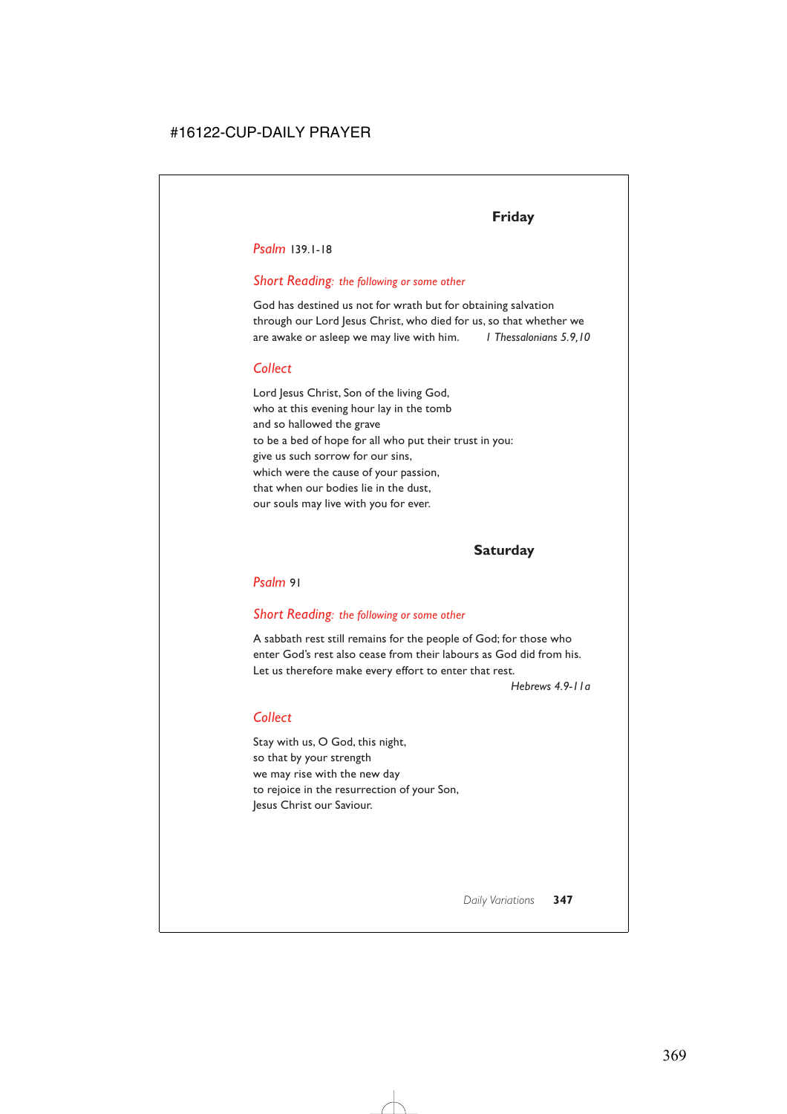#### *Psalm* 139.1-18

#### *Short Reading: the following or some other*

God has destined us not for wrath but for obtaining salvation through our Lord Jesus Christ, who died for us, so that whether we are awake or asleep we may live with him. *1 Thessalonians 5.9,10*

## *Collect*

Lord Jesus Christ, Son of the living God, who at this evening hour lay in the tomb and so hallowed the grave to be a bed of hope for all who put their trust in you: give us such sorrow for our sins, which were the cause of your passion, that when our bodies lie in the dust, our souls may live with you for ever.

## **Saturday**

#### *Psalm* 91

#### *Short Reading: the following or some other*

A sabbath rest still remains for the people of God; for those who enter God's rest also cease from their labours as God did from his. Let us therefore make every effort to enter that rest.

*Hebrews 4.9-11a*

## *Collect*

Stay with us, O God, this night, so that by your strength we may rise with the new day to rejoice in the resurrection of your Son, Jesus Christ our Saviour.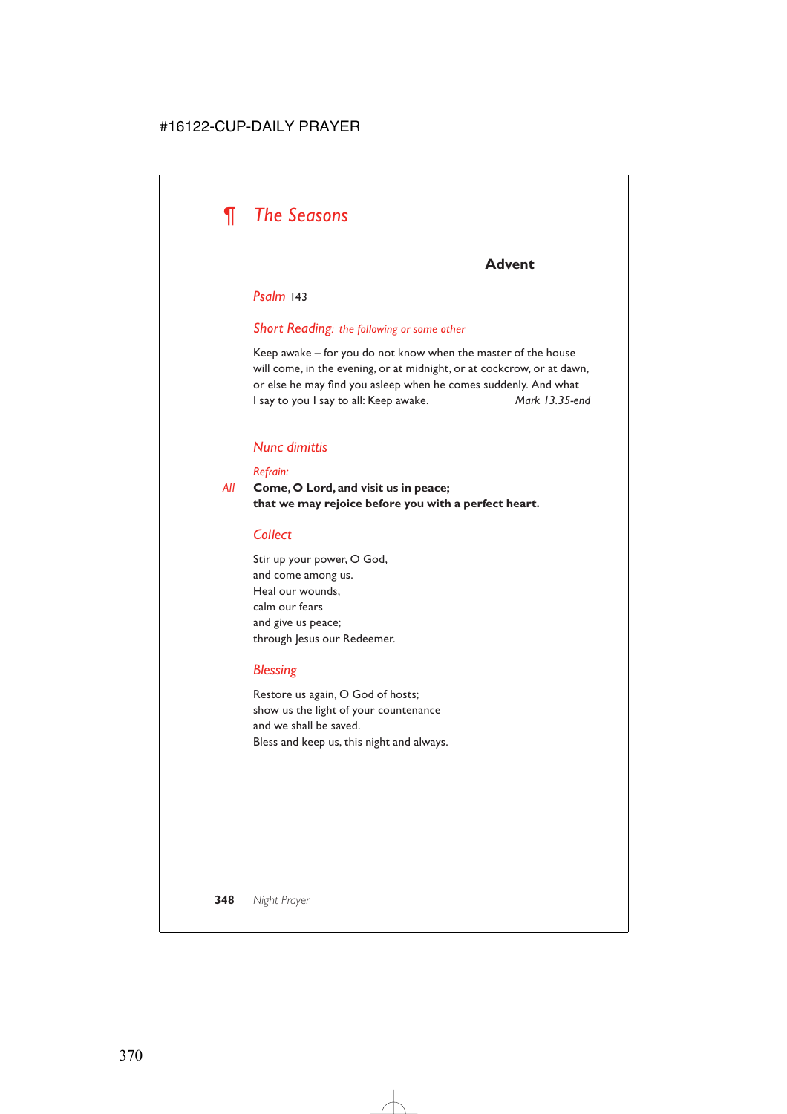

## **Advent**

#### *Psalm* 143

#### *Short Reading: the following or some other*

Keep awake – for you do not know when the master of the house will come, in the evening, or at midnight, or at cockcrow, or at dawn, or else he may find you asleep when he comes suddenly. And what I say to you I say to all: Keep awake. *Mark 13.35-end*

#### *Nunc dimittis*

#### *Refrain:*

*All* **Come, O Lord, and visit us in peace; that we may rejoice before you with a perfect heart.**

#### *Collect*

Stir up your power, O God, and come among us. Heal our wounds, calm our fears and give us peace; through Jesus our Redeemer.

#### *Blessing*

Restore us again, O God of hosts; show us the light of your countenance and we shall be saved. Bless and keep us, this night and always.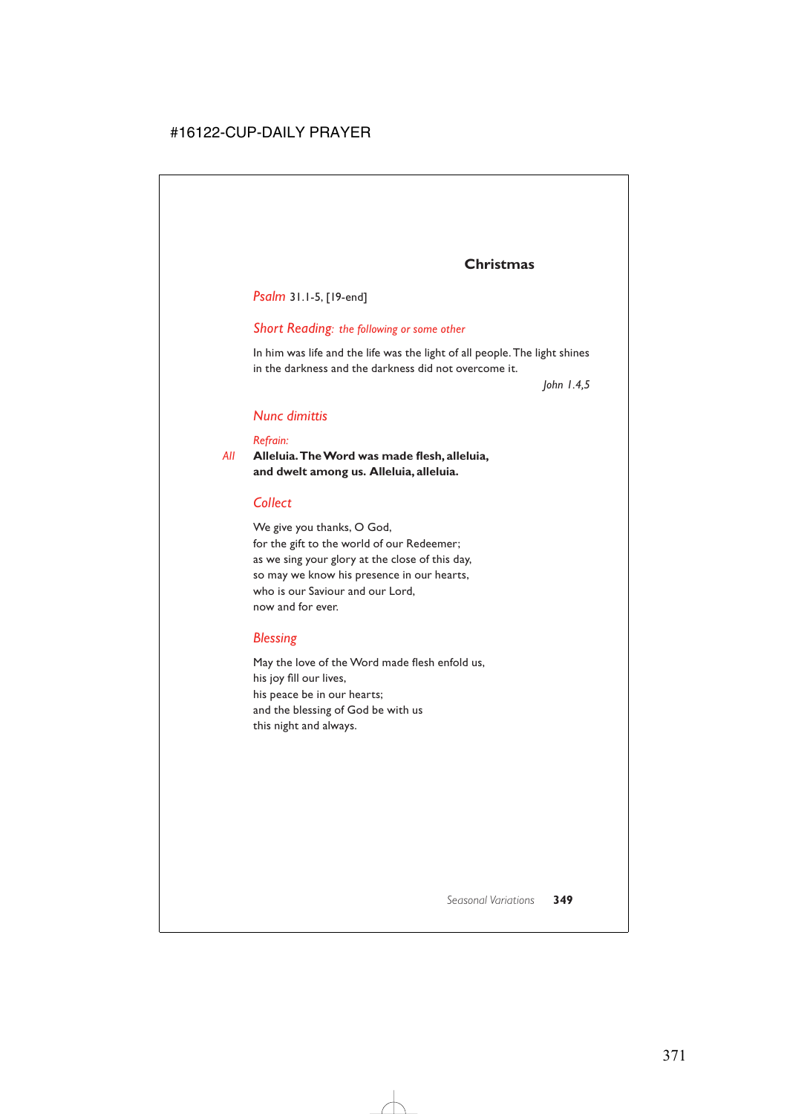## **Christmas**

## *Psalm* 31.1-5, [19-end]

#### *Short Reading: the following or some other*

In him was life and the life was the light of all people. The light shines in the darkness and the darkness did not overcome it.

*John 1.4,5*

### *Nunc dimittis*

#### *Refrain:*

*All* **Alleluia.The Word was made flesh, alleluia, and dwelt among us. Alleluia, alleluia.**

#### *Collect*

We give you thanks, O God, for the gift to the world of our Redeemer; as we sing your glory at the close of this day, so may we know his presence in our hearts, who is our Saviour and our Lord, now and for ever.

#### *Blessing*

May the love of the Word made flesh enfold us, his joy fill our lives, his peace be in our hearts; and the blessing of God be with us this night and always.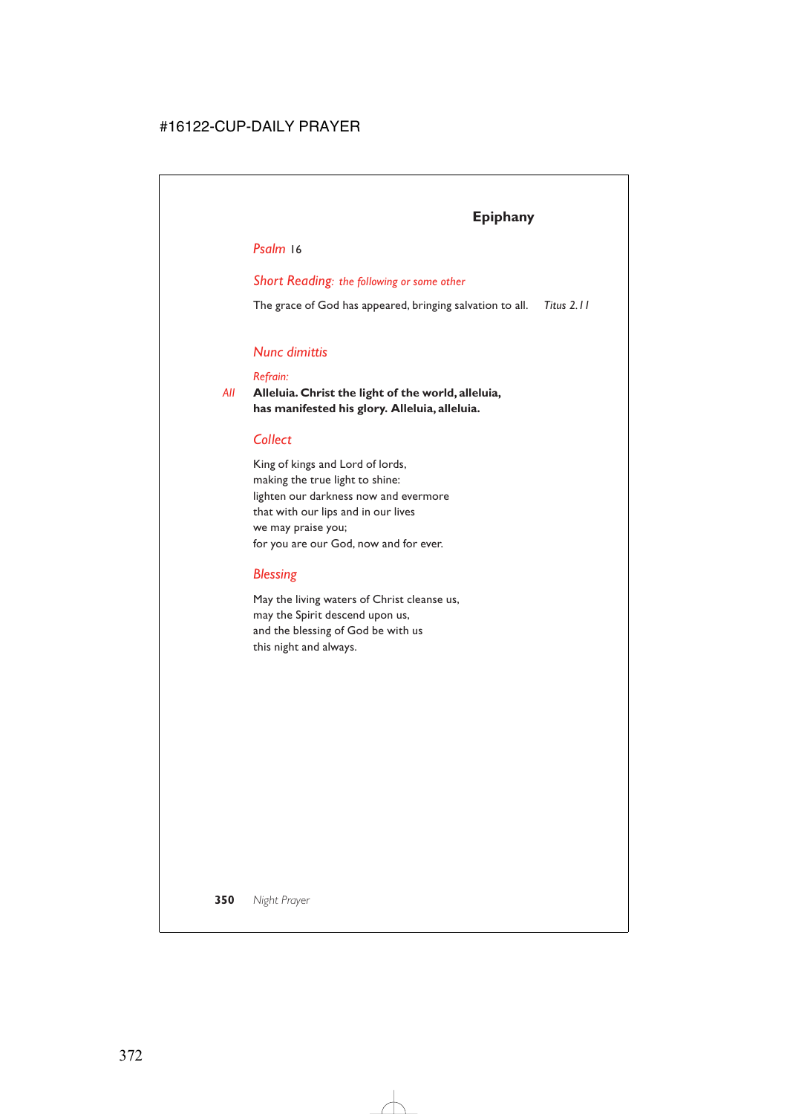# **Epiphany**

#### *Psalm* 16

#### *Short Reading: the following or some other*

The grace of God has appeared, bringing salvation to all. *Titus 2.11*

## *Nunc dimittis*

#### *Refrain:*

*All* **Alleluia. Christ the light of the world, alleluia, has manifested his glory. Alleluia, alleluia.**

## *Collect*

King of kings and Lord of lords, making the true light to shine: lighten our darkness now and evermore that with our lips and in our lives we may praise you; for you are our God, now and for ever.

## *Blessing*

May the living waters of Christ cleanse us, may the Spirit descend upon us, and the blessing of God be with us this night and always.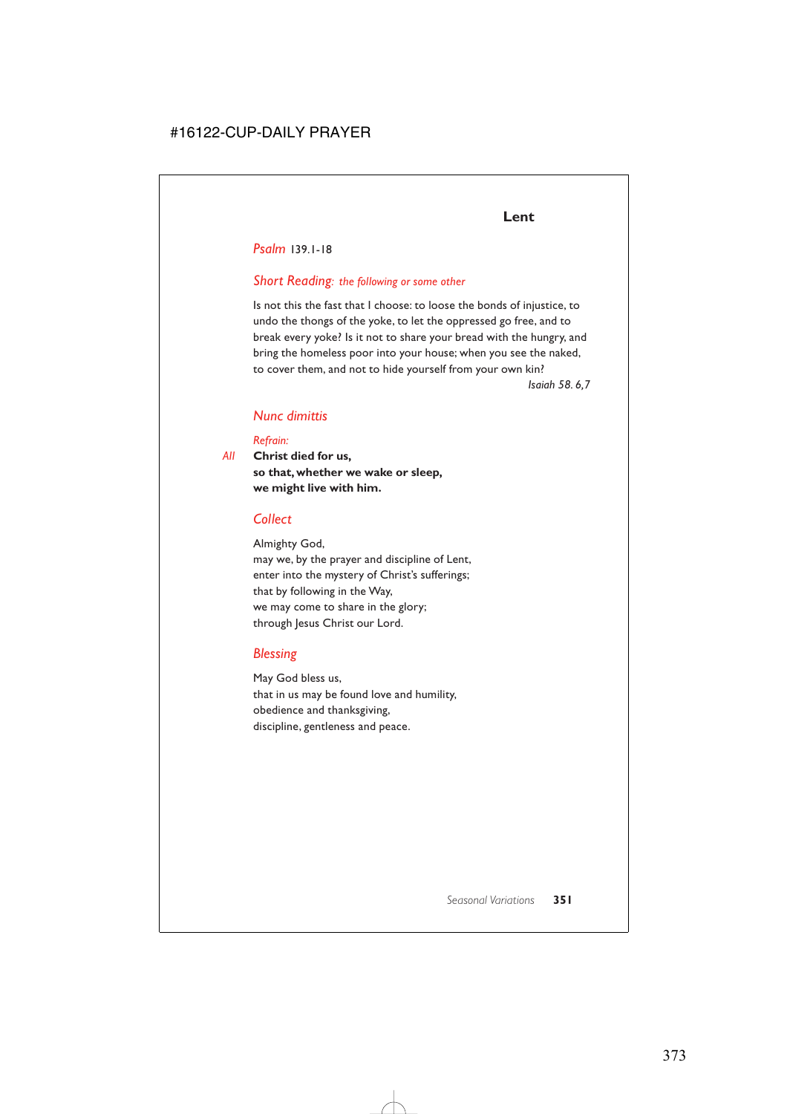#### *Psalm* 139.1-18

### *Short Reading: the following or some other*

Is not this the fast that I choose: to loose the bonds of injustice, to undo the thongs of the yoke, to let the oppressed go free, and to break every yoke? Is it not to share your bread with the hungry, and bring the homeless poor into your house; when you see the naked, to cover them, and not to hide yourself from your own kin?

*Isaiah 58. 6,7*

### *Nunc dimittis*

#### *Refrain:*

*All* **Christ died for us, so that, whether we wake or sleep, we might live with him.**

## *Collect*

Almighty God, may we, by the prayer and discipline of Lent, enter into the mystery of Christ's sufferings; that by following in the Way, we may come to share in the glory; through Jesus Christ our Lord.

## *Blessing*

May God bless us, that in us may be found love and humility, obedience and thanksgiving, discipline, gentleness and peace.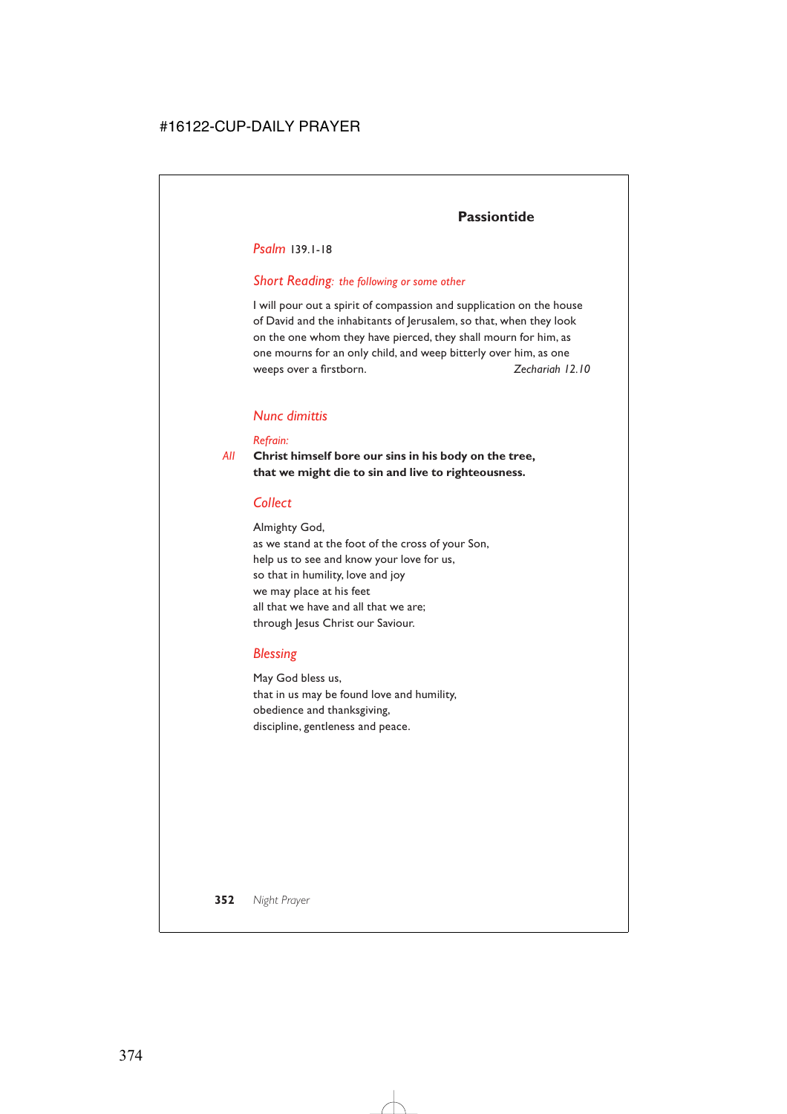*Psalm* 139.1-18

## *Short Reading: the following or some other*

I will pour out a spirit of compassion and supplication on the house of David and the inhabitants of Jerusalem, so that, when they look on the one whom they have pierced, they shall mourn for him, as one mourns for an only child, and weep bitterly over him, as one weeps over a firstborn. *Zechariah 12.10*

## *Nunc dimittis*

#### *Refrain:*

*All* **Christ himself bore our sins in his body on the tree, that we might die to sin and live to righteousness.**

### *Collect*

Almighty God, as we stand at the foot of the cross of your Son, help us to see and know your love for us, so that in humility, love and joy we may place at his feet all that we have and all that we are; through Jesus Christ our Saviour.

## *Blessing*

May God bless us, that in us may be found love and humility, obedience and thanksgiving, discipline, gentleness and peace.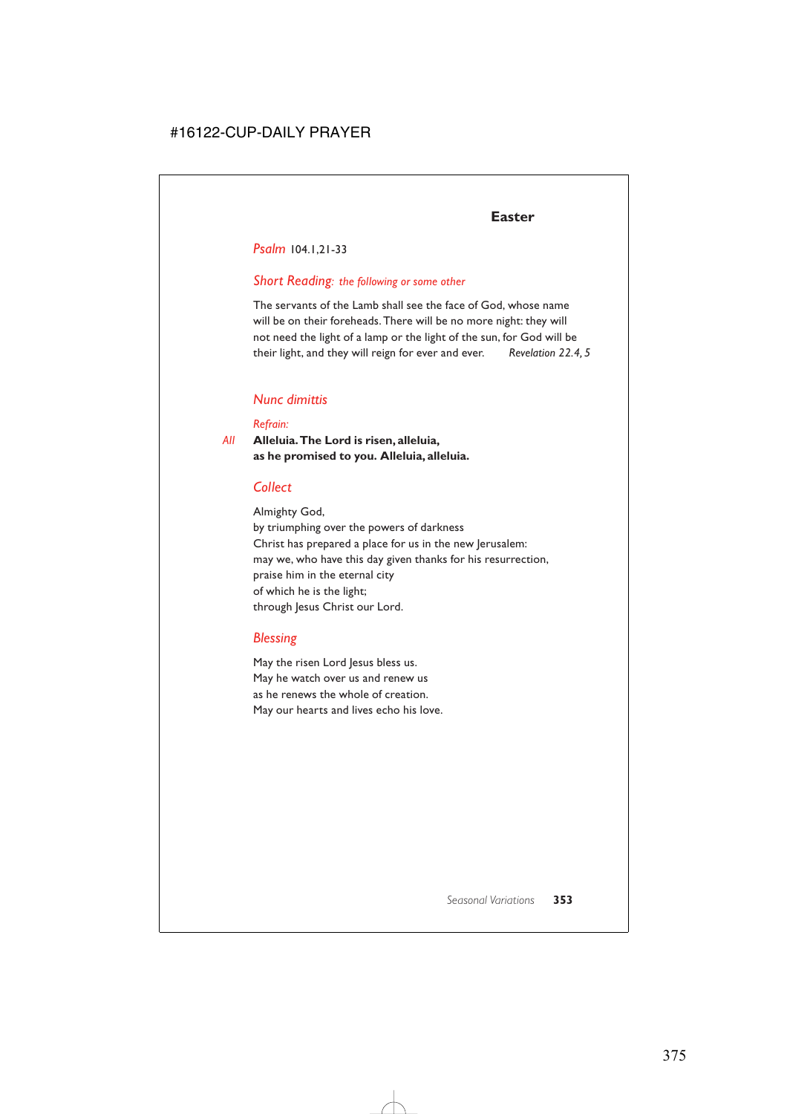*Psalm* 104.1,21-33

## *Short Reading: the following or some other*

The servants of the Lamb shall see the face of God, whose name will be on their foreheads. There will be no more night: they will not need the light of a lamp or the light of the sun, for God will be their light, and they will reign for ever and ever. *Revelation 22.4, 5*

## *Nunc dimittis*

#### *Refrain:*

*All* **Alleluia.The Lord is risen, alleluia, as he promised to you. Alleluia, alleluia.**

## *Collect*

Almighty God, by triumphing over the powers of darkness Christ has prepared a place for us in the new Jerusalem: may we, who have this day given thanks for his resurrection, praise him in the eternal city of which he is the light; through Jesus Christ our Lord.

## *Blessing*

May the risen Lord Jesus bless us. May he watch over us and renew us as he renews the whole of creation. May our hearts and lives echo his love.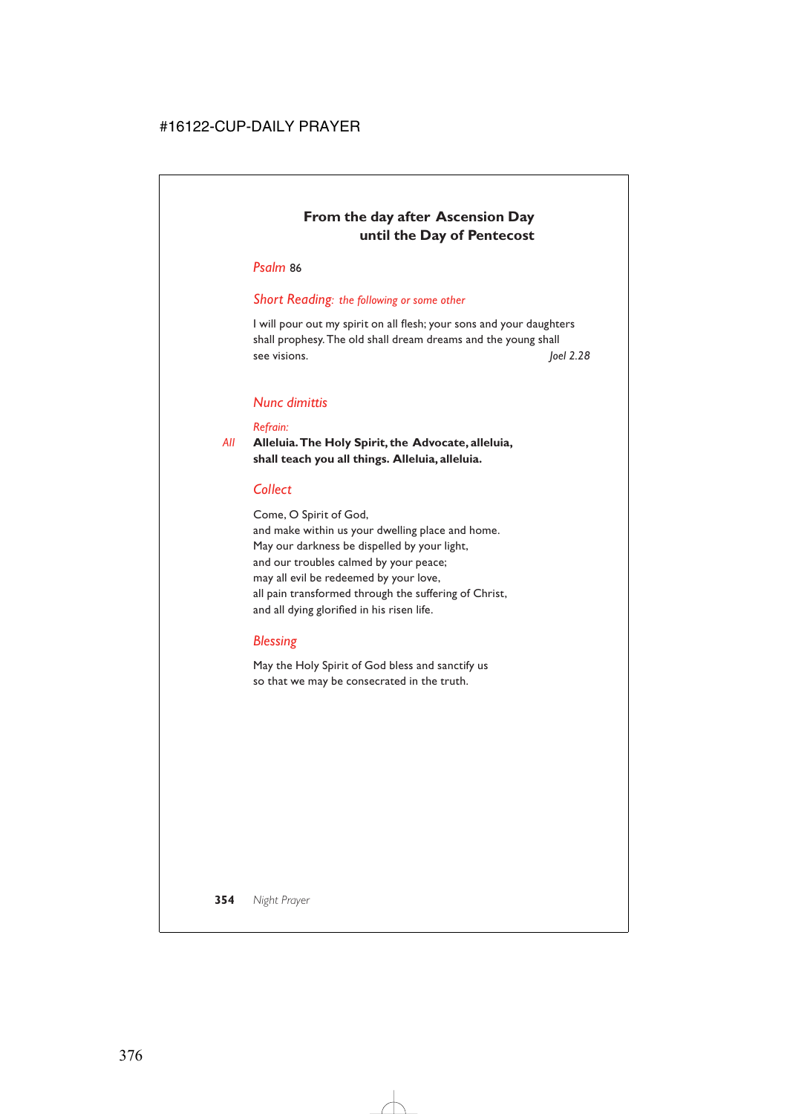# **From the day after Ascension Day until the Day of Pentecost**

### *Psalm* 86

#### *Short Reading: the following or some other*

I will pour out my spirit on all flesh; your sons and your daughters shall prophesy. The old shall dream dreams and the young shall see visions. *Joel 2.28*

## *Nunc dimittis*

#### *Refrain:*

*All* **Alleluia.The Holy Spirit, the Advocate, alleluia, shall teach you all things. Alleluia, alleluia.**

## *Collect*

Come, O Spirit of God, and make within us your dwelling place and home. May our darkness be dispelled by your light, and our troubles calmed by your peace; may all evil be redeemed by your love, all pain transformed through the suffering of Christ, and all dying glorified in his risen life.

## *Blessing*

May the Holy Spirit of God bless and sanctify us so that we may be consecrated in the truth.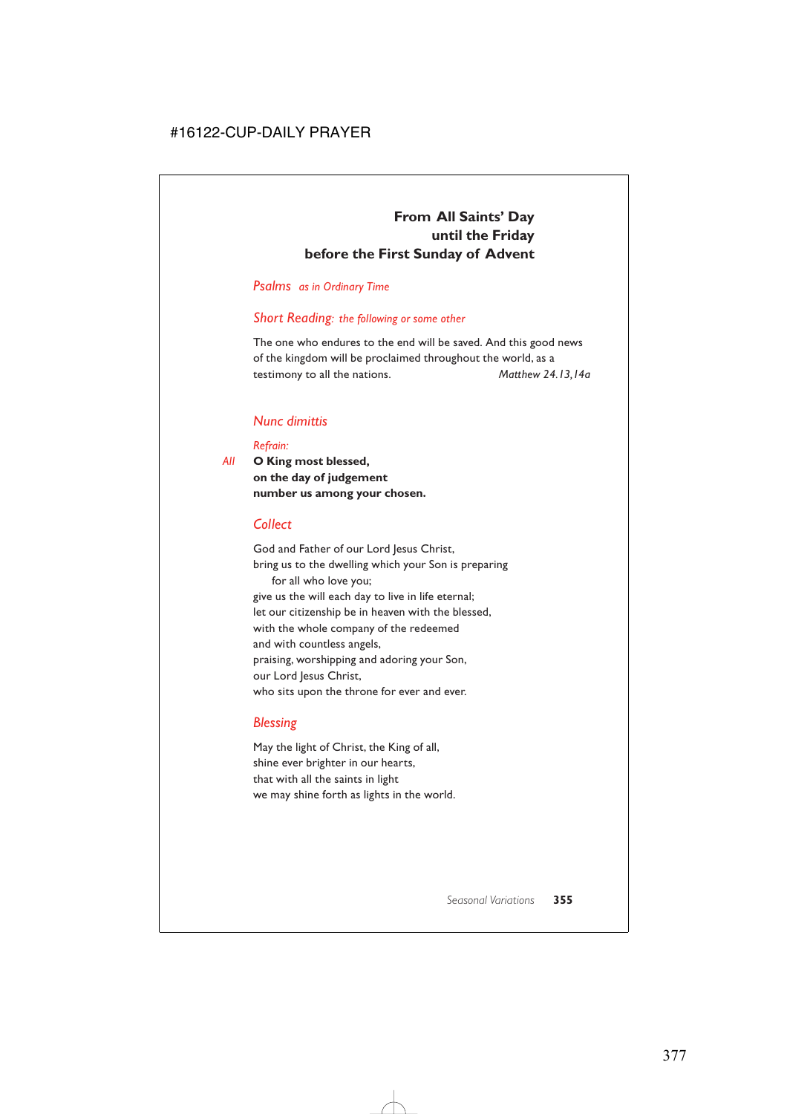## **From All Saints' Day until the Friday before the First Sunday of Advent**

#### *Psalms as in Ordinary Time*

#### *Short Reading: the following or some other*

The one who endures to the end will be saved. And this good news of the kingdom will be proclaimed throughout the world, as a testimony to all the nations. *Matthew 24.13,14a*

#### *Nunc dimittis*

#### *Refrain:*

*All* **O King most blessed, on the day of judgement number us among your chosen.**

### *Collect*

God and Father of our Lord Jesus Christ, bring us to the dwelling which your Son is preparing for all who love you; give us the will each day to live in life eternal; let our citizenship be in heaven with the blessed, with the whole company of the redeemed and with countless angels, praising, worshipping and adoring your Son, our Lord Jesus Christ, who sits upon the throne for ever and ever.

## *Blessing*

May the light of Christ, the King of all, shine ever brighter in our hearts, that with all the saints in light we may shine forth as lights in the world.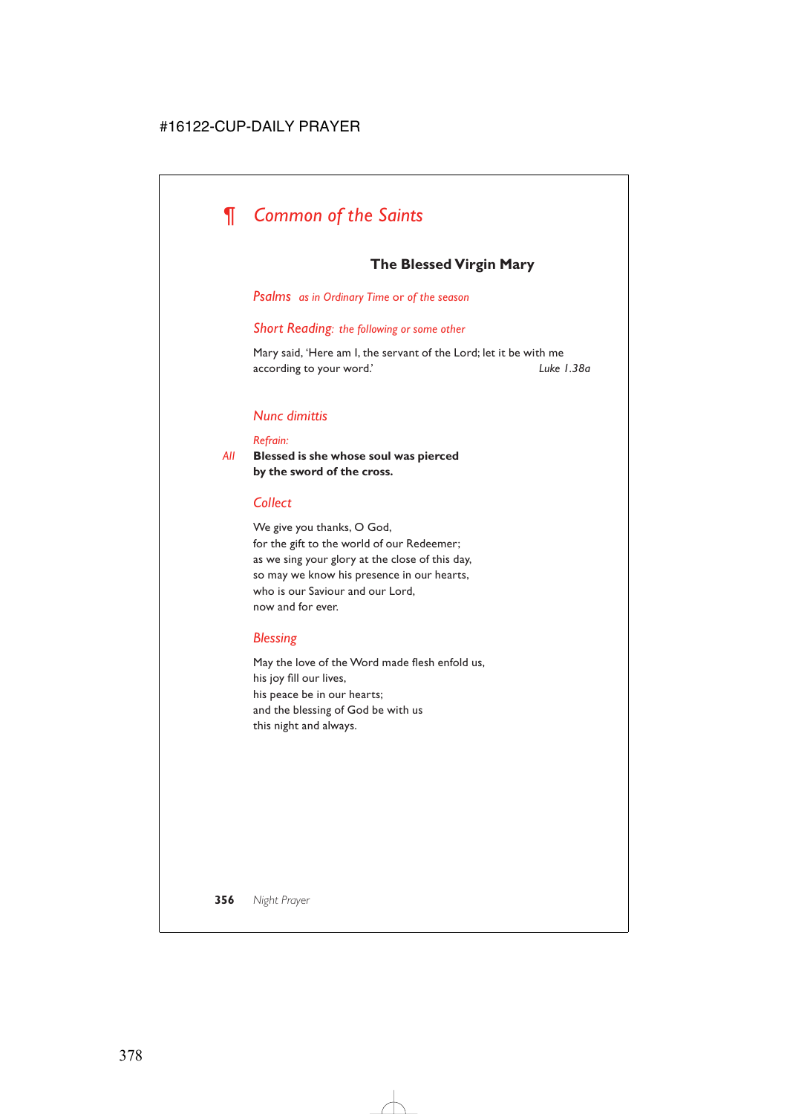# *¶ Common of the Saints*

# **The Blessed Virgin Mary**

#### *Psalms as in Ordinary Time* or *of the season*

#### *Short Reading: the following or some other*

Mary said, 'Here am I, the servant of the Lord; let it be with me according to your word.' *Luke 1.38a*

#### *Nunc dimittis*

#### *Refrain:*

*All* **Blessed is she whose soul was pierced by the sword of the cross.**

#### *Collect*

We give you thanks, O God, for the gift to the world of our Redeemer; as we sing your glory at the close of this day, so may we know his presence in our hearts, who is our Saviour and our Lord, now and for ever.

#### *Blessing*

May the love of the Word made flesh enfold us, his joy fill our lives, his peace be in our hearts; and the blessing of God be with us this night and always.